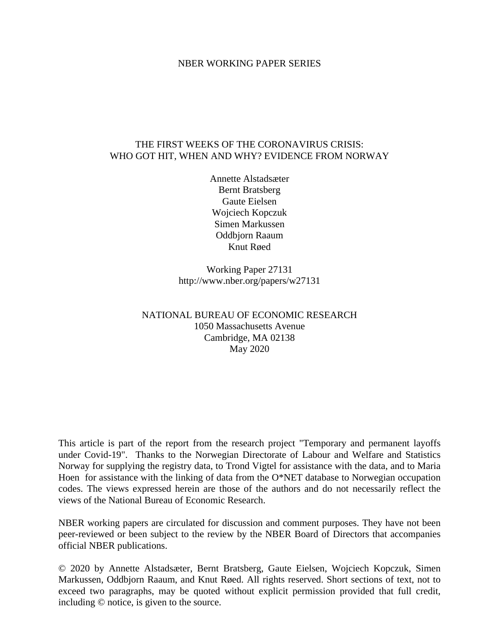#### NBER WORKING PAPER SERIES

### THE FIRST WEEKS OF THE CORONAVIRUS CRISIS: WHO GOT HIT, WHEN AND WHY? EVIDENCE FROM NORWAY

Annette Alstadsæter Bernt Bratsberg Gaute Eielsen Wojciech Kopczuk Simen Markussen Oddbjorn Raaum Knut Røed

Working Paper 27131 http://www.nber.org/papers/w27131

### NATIONAL BUREAU OF ECONOMIC RESEARCH 1050 Massachusetts Avenue Cambridge, MA 02138 May 2020

This article is part of the report from the research project "Temporary and permanent layoffs under Covid-19". Thanks to the Norwegian Directorate of Labour and Welfare and Statistics Norway for supplying the registry data, to Trond Vigtel for assistance with the data, and to Maria Hoen for assistance with the linking of data from the O\*NET database to Norwegian occupation codes. The views expressed herein are those of the authors and do not necessarily reflect the views of the National Bureau of Economic Research.

NBER working papers are circulated for discussion and comment purposes. They have not been peer-reviewed or been subject to the review by the NBER Board of Directors that accompanies official NBER publications.

© 2020 by Annette Alstadsæter, Bernt Bratsberg, Gaute Eielsen, Wojciech Kopczuk, Simen Markussen, Oddbjorn Raaum, and Knut Røed. All rights reserved. Short sections of text, not to exceed two paragraphs, may be quoted without explicit permission provided that full credit, including © notice, is given to the source.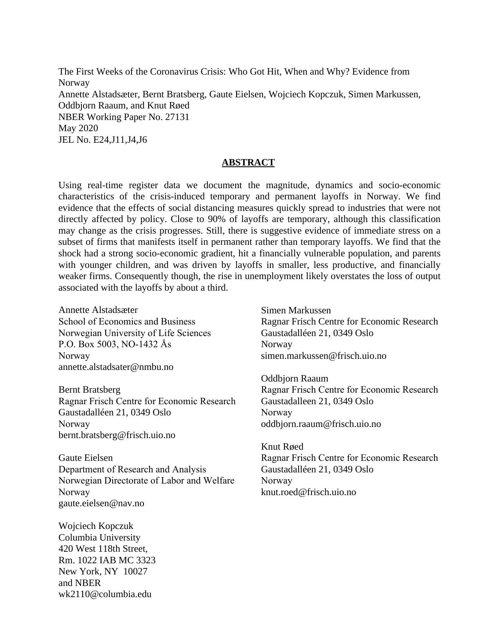The First Weeks of the Coronavirus Crisis: Who Got Hit, When and Why? Evidence from Norway Annette Alstadsæter, Bernt Bratsberg, Gaute Eielsen, Wojciech Kopczuk, Simen Markussen, Oddbjorn Raaum, and Knut Røed NBER Working Paper No. 27131 May 2020 JEL No. E24,J11,J4,J6

#### **ABSTRACT**

Using real-time register data we document the magnitude, dynamics and socio-economic characteristics of the crisis-induced temporary and permanent layoffs in Norway. We find evidence that the effects of social distancing measures quickly spread to industries that were not directly affected by policy. Close to 90% of layoffs are temporary, although this classification may change as the crisis progresses. Still, there is suggestive evidence of immediate stress on a subset of firms that manifests itself in permanent rather than temporary layoffs. We find that the shock had a strong socio-economic gradient, hit a financially vulnerable population, and parents with younger children, and was driven by layoffs in smaller, less productive, and financially weaker firms. Consequently though, the rise in unemployment likely overstates the loss of output associated with the layoffs by about a third.

Annette Alstadsæter School of Economics and Business Norwegian University of Life Sciences P.O. Box 5003, NO-1432 Ås Norway annette.alstadsater@nmbu.no

Bernt Bratsberg Ragnar Frisch Centre for Economic Research Gaustadalléen 21, 0349 Oslo Norway bernt.bratsberg@frisch.uio.no

Gaute Eielsen Department of Research and Analysis Norwegian Directorate of Labor and Welfare Norway gaute.eielsen@nav.no

Wojciech Kopczuk Columbia University 420 West 118th Street, Rm. 1022 IAB MC 3323 New York, NY 10027 and NBER wk2110@columbia.edu

Simen Markussen Ragnar Frisch Centre for Economic Research Gaustadalléen 21, 0349 Oslo Norway simen.markussen@frisch.uio.no

Oddbjorn Raaum Ragnar Frisch Centre for Economic Research Gaustadalleen 21, 0349 Oslo Norway oddbjorn.raaum@frisch.uio.no

Knut Røed Ragnar Frisch Centre for Economic Research Gaustadalléen 21, 0349 Oslo Norway knut.roed@frisch.uio.no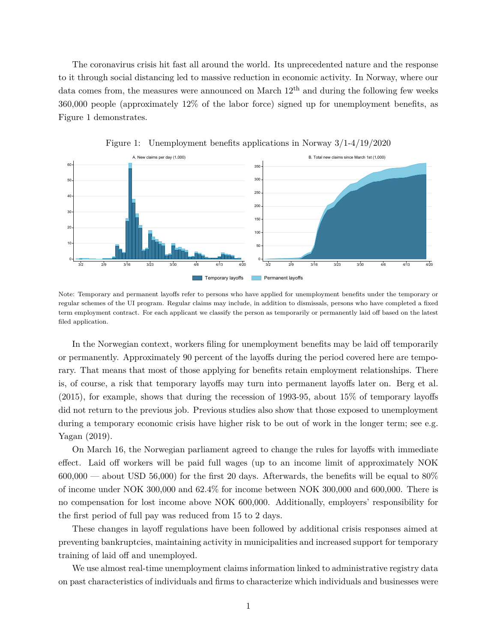The coronavirus crisis hit fast all around the world. Its unprecedented nature and the response to it through social distancing led to massive reduction in economic activity. In Norway, where our data comes from, the measures were announced on March  $12<sup>th</sup>$  and during the following few weeks 360,000 people (approximately 12% of the labor force) signed up for unemployment benefits, as Figure 1 demonstrates.



Figure 1: Unemployment benefits applications in Norway 3/1-4/19/2020

Note: Temporary and permanent layoffs refer to persons who have applied for unemployment benefits under the temporary or regular schemes of the UI program. Regular claims may include, in addition to dismissals, persons who have completed a fixed term employment contract. For each applicant we classify the person as temporarily or permanently laid off based on the latest filed application.

In the Norwegian context, workers filing for unemployment benefits may be laid off temporarily or permanently. Approximately 90 percent of the layoffs during the period covered here are temporary. That means that most of those applying for benefits retain employment relationships. There is, of course, a risk that temporary layoffs may turn into permanent layoffs later on. Berg et al. (2015), for example, shows that during the recession of 1993-95, about 15% of temporary layoffs did not return to the previous job. Previous studies also show that those exposed to unemployment during a temporary economic crisis have higher risk to be out of work in the longer term; see e.g. Yagan (2019).

On March 16, the Norwegian parliament agreed to change the rules for layoffs with immediate effect. Laid off workers will be paid full wages (up to an income limit of approximately NOK  $600,000$  — about USD 56,000) for the first 20 days. Afterwards, the benefits will be equal to 80% of income under NOK 300,000 and 62.4% for income between NOK 300,000 and 600,000. There is no compensation for lost income above NOK 600,000. Additionally, employers' responsibility for the first period of full pay was reduced from 15 to 2 days.

These changes in layoff regulations have been followed by additional crisis responses aimed at preventing bankruptcies, maintaining activity in municipalities and increased support for temporary training of laid off and unemployed.

We use almost real-time unemployment claims information linked to administrative registry data on past characteristics of individuals and firms to characterize which individuals and businesses were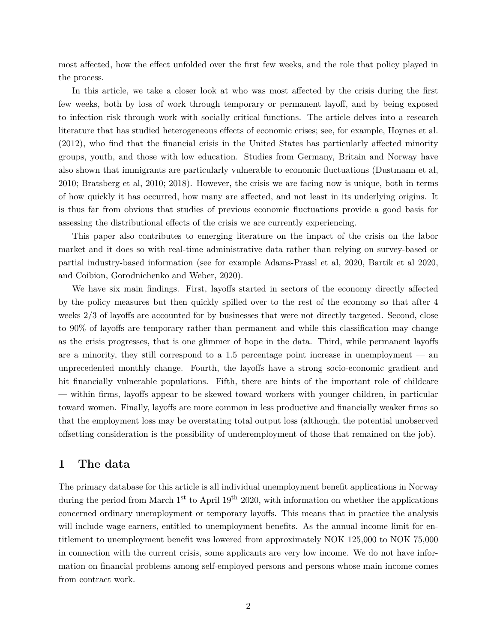most affected, how the effect unfolded over the first few weeks, and the role that policy played in the process.

In this article, we take a closer look at who was most affected by the crisis during the first few weeks, both by loss of work through temporary or permanent layoff, and by being exposed to infection risk through work with socially critical functions. The article delves into a research literature that has studied heterogeneous effects of economic crises; see, for example, Hoynes et al. (2012), who find that the financial crisis in the United States has particularly affected minority groups, youth, and those with low education. Studies from Germany, Britain and Norway have also shown that immigrants are particularly vulnerable to economic fluctuations (Dustmann et al, 2010; Bratsberg et al, 2010; 2018). However, the crisis we are facing now is unique, both in terms of how quickly it has occurred, how many are affected, and not least in its underlying origins. It is thus far from obvious that studies of previous economic fluctuations provide a good basis for assessing the distributional effects of the crisis we are currently experiencing.

This paper also contributes to emerging literature on the impact of the crisis on the labor market and it does so with real-time administrative data rather than relying on survey-based or partial industry-based information (see for example Adams-Prassl et al, 2020, Bartik et al 2020, and Coibion, Gorodnichenko and Weber, 2020).

We have six main findings. First, layoffs started in sectors of the economy directly affected by the policy measures but then quickly spilled over to the rest of the economy so that after 4 weeks 2/3 of layoffs are accounted for by businesses that were not directly targeted. Second, close to 90% of layoffs are temporary rather than permanent and while this classification may change as the crisis progresses, that is one glimmer of hope in the data. Third, while permanent layoffs are a minority, they still correspond to a 1.5 percentage point increase in unemployment — an unprecedented monthly change. Fourth, the layoffs have a strong socio-economic gradient and hit financially vulnerable populations. Fifth, there are hints of the important role of childcare — within firms, layoffs appear to be skewed toward workers with younger children, in particular toward women. Finally, layoffs are more common in less productive and financially weaker firms so that the employment loss may be overstating total output loss (although, the potential unobserved offsetting consideration is the possibility of underemployment of those that remained on the job).

### **1 The data**

The primary database for this article is all individual unemployment benefit applications in Norway during the period from March  $1^{st}$  to April  $19^{th}$  2020, with information on whether the applications concerned ordinary unemployment or temporary layoffs. This means that in practice the analysis will include wage earners, entitled to unemployment benefits. As the annual income limit for entitlement to unemployment benefit was lowered from approximately NOK 125,000 to NOK 75,000 in connection with the current crisis, some applicants are very low income. We do not have information on financial problems among self-employed persons and persons whose main income comes from contract work.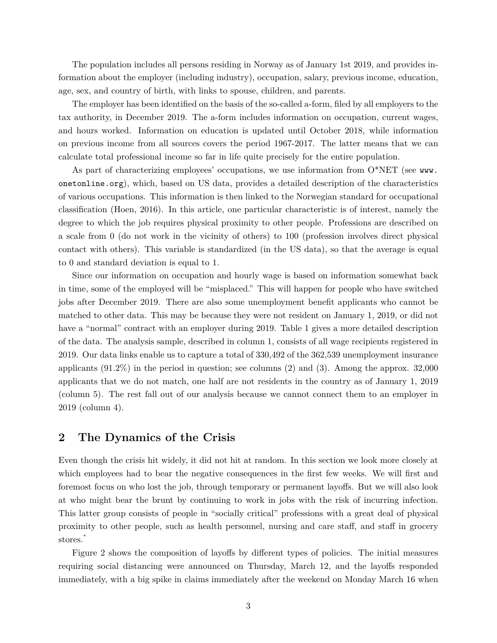The population includes all persons residing in Norway as of January 1st 2019, and provides information about the employer (including industry), occupation, salary, previous income, education, age, sex, and country of birth, with links to spouse, children, and parents.

The employer has been identified on the basis of the so-called a-form, filed by all employers to the tax authority, in December 2019. The a-form includes information on occupation, current wages, and hours worked. Information on education is updated until October 2018, while information on previous income from all sources covers the period 1967-2017. The latter means that we can calculate total professional income so far in life quite precisely for the entire population.

As part of characterizing employees' occupations, we use information from  $O^*NET$  (see [www.](www.onetonline.org) [onetonline.org](www.onetonline.org)), which, based on US data, provides a detailed description of the characteristics of various occupations. This information is then linked to the Norwegian standard for occupational classification (Hoen, 2016). In this article, one particular characteristic is of interest, namely the degree to which the job requires physical proximity to other people. Professions are described on a scale from 0 (do not work in the vicinity of others) to 100 (profession involves direct physical contact with others). This variable is standardized (in the US data), so that the average is equal to 0 and standard deviation is equal to 1.

Since our information on occupation and hourly wage is based on information somewhat back in time, some of the employed will be "misplaced." This will happen for people who have switched jobs after December 2019. There are also some unemployment benefit applicants who cannot be matched to other data. This may be because they were not resident on January 1, 2019, or did not have a "normal" contract with an employer during 2019. Table 1 gives a more detailed description of the data. The analysis sample, described in column 1, consists of all wage recipients registered in 2019. Our data links enable us to capture a total of 330,492 of the 362,539 unemployment insurance applicants (91.2%) in the period in question; see columns (2) and (3). Among the approx. 32,000 applicants that we do not match, one half are not residents in the country as of January 1, 2019 (column 5). The rest fall out of our analysis because we cannot connect them to an employer in 2019 (column 4).

### **2 The Dynamics of the Crisis**

Even though the crisis hit widely, it did not hit at random. In this section we look more closely at which employees had to bear the negative consequences in the first few weeks. We will first and foremost focus on who lost the job, through temporary or permanent layoffs. But we will also look at who might bear the brunt by continuing to work in jobs with the risk of incurring infection. This latter group consists of people in "socially critical" professions with a great deal of physical proximity to other people, such as health personnel, nursing and care staff, and staff in grocery stores. [∗](#page--1-0)

Figure 2 shows the composition of layoffs by different types of policies. The initial measures requiring social distancing were announced on Thursday, March 12, and the layoffs responded immediately, with a big spike in claims immediately after the weekend on Monday March 16 when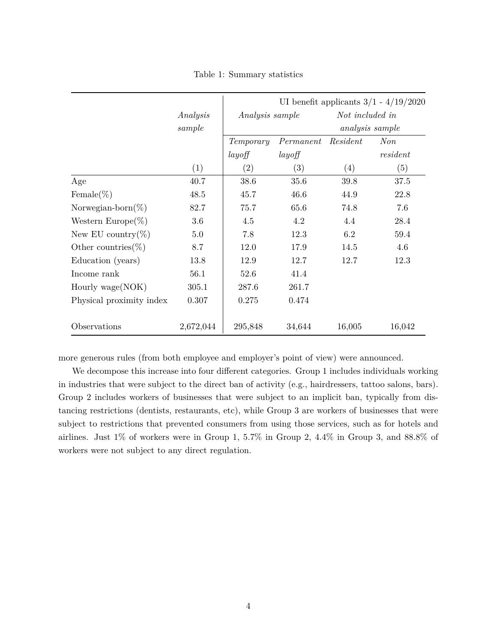|                          |           | UI benefit applicants $3/1 - 4/19/2020$ |                   |                 |                 |  |
|--------------------------|-----------|-----------------------------------------|-------------------|-----------------|-----------------|--|
|                          | Analysis  | Analysis sample                         |                   | Not included in |                 |  |
|                          | sample    |                                         |                   |                 | analysis sample |  |
|                          |           | Temporary                               | Permanent         | Resident        | Non             |  |
|                          |           | layoff                                  | layoff            |                 | resident        |  |
|                          | (1)       | $\left( 2\right)$                       | $\left( 3\right)$ | (4)             | (5)             |  |
| Age                      | 40.7      | 38.6                                    | 35.6              | 39.8            | 37.5            |  |
| Female(%)                | 48.5      | 45.7                                    | 46.6              | 44.9            | 22.8            |  |
| Norwegian-born $(\%)$    | 82.7      | 75.7                                    | 65.6              | 74.8            | 7.6             |  |
| Western Europe $(\%)$    | 3.6       | 4.5                                     | 4.2               | 4.4             | 28.4            |  |
| New EU country(%)        | 5.0       | 7.8                                     | 12.3              | 6.2             | 59.4            |  |
| Other countries $(\%)$   | 8.7       | 12.0                                    | 17.9              | 14.5            | 4.6             |  |
| Education (years)        | 13.8      | 12.9                                    | 12.7              | 12.7            | 12.3            |  |
| Income rank              | 56.1      | 52.6                                    | 41.4              |                 |                 |  |
| Hourly wage(NOK)         | 305.1     | 287.6                                   | 261.7             |                 |                 |  |
| Physical proximity index | 0.307     | 0.275                                   | 0.474             |                 |                 |  |
| Observations             | 2,672,044 | 295,848                                 | 34,644            | 16,005          | 16,042          |  |

Table 1: Summary statistics

more generous rules (from both employee and employer's point of view) were announced.

We decompose this increase into four different categories. Group 1 includes individuals working in industries that were subject to the direct ban of activity (e.g., hairdressers, tattoo salons, bars). Group 2 includes workers of businesses that were subject to an implicit ban, typically from distancing restrictions (dentists, restaurants, etc), while Group 3 are workers of businesses that were subject to restrictions that prevented consumers from using those services, such as for hotels and airlines. Just 1% of workers were in Group 1, 5.7% in Group 2, 4.4% in Group 3, and 88.8% of workers were not subject to any direct regulation.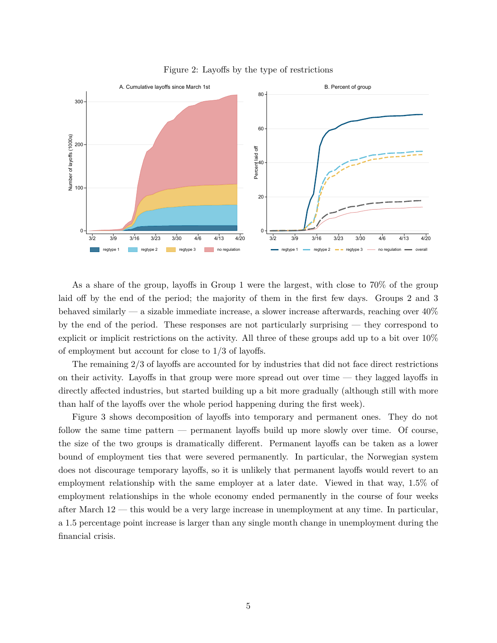

Figure 2: Layoffs by the type of restrictions

As a share of the group, layoffs in Group 1 were the largest, with close to 70% of the group laid off by the end of the period; the majority of them in the first few days. Groups 2 and 3 behaved similarly — a sizable immediate increase, a slower increase afterwards, reaching over 40% by the end of the period. These responses are not particularly surprising — they correspond to explicit or implicit restrictions on the activity. All three of these groups add up to a bit over 10% of employment but account for close to 1/3 of layoffs.

The remaining 2/3 of layoffs are accounted for by industries that did not face direct restrictions on their activity. Layoffs in that group were more spread out over time — they lagged layoffs in directly affected industries, but started building up a bit more gradually (although still with more than half of the layoffs over the whole period happening during the first week).

Figure 3 shows decomposition of layoffs into temporary and permanent ones. They do not follow the same time pattern — permanent layoffs build up more slowly over time. Of course, the size of the two groups is dramatically different. Permanent layoffs can be taken as a lower bound of employment ties that were severed permanently. In particular, the Norwegian system does not discourage temporary layoffs, so it is unlikely that permanent layoffs would revert to an employment relationship with the same employer at a later date. Viewed in that way, 1.5% of employment relationships in the whole economy ended permanently in the course of four weeks after March  $12$  — this would be a very large increase in unemployment at any time. In particular, a 1.5 percentage point increase is larger than any single month change in unemployment during the financial crisis.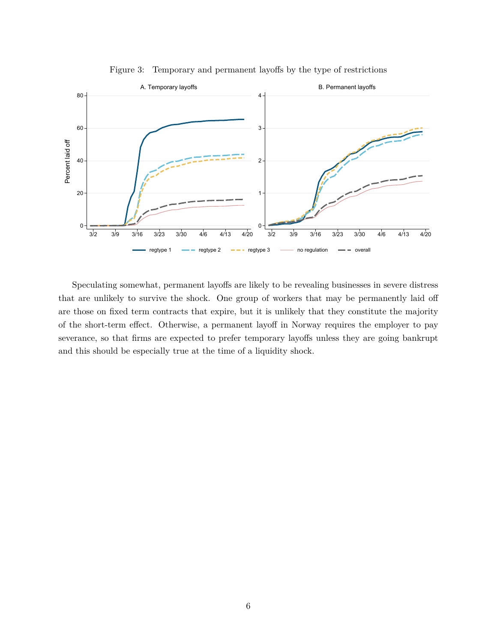

Figure 3: Temporary and permanent layoffs by the type of restrictions

Speculating somewhat, permanent layoffs are likely to be revealing businesses in severe distress that are unlikely to survive the shock. One group of workers that may be permanently laid off are those on fixed term contracts that expire, but it is unlikely that they constitute the majority of the short-term effect. Otherwise, a permanent layoff in Norway requires the employer to pay severance, so that firms are expected to prefer temporary layoffs unless they are going bankrupt and this should be especially true at the time of a liquidity shock.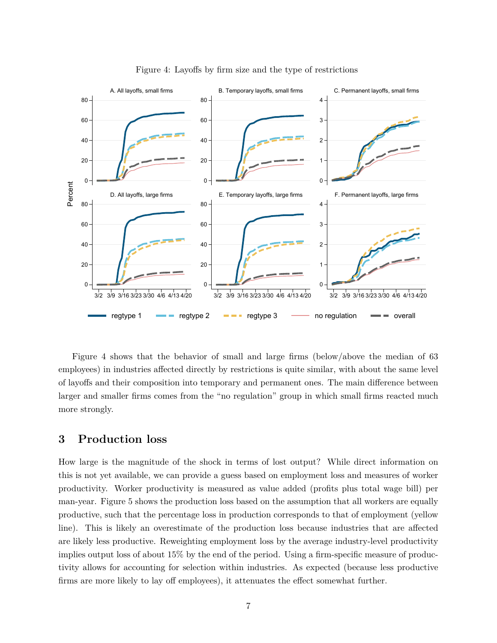

Figure 4: Layoffs by firm size and the type of restrictions

Figure 4 shows that the behavior of small and large firms (below/above the median of 63 employees) in industries affected directly by restrictions is quite similar, with about the same level of layoffs and their composition into temporary and permanent ones. The main difference between larger and smaller firms comes from the "no regulation" group in which small firms reacted much more strongly.

### **3 Production loss**

How large is the magnitude of the shock in terms of lost output? While direct information on this is not yet available, we can provide a guess based on employment loss and measures of worker productivity. Worker productivity is measured as value added (profits plus total wage bill) per man-year. Figure 5 shows the production loss based on the assumption that all workers are equally productive, such that the percentage loss in production corresponds to that of employment (yellow line). This is likely an overestimate of the production loss because industries that are affected are likely less productive. Reweighting employment loss by the average industry-level productivity implies output loss of about 15% by the end of the period. Using a firm-specific measure of productivity allows for accounting for selection within industries. As expected (because less productive firms are more likely to lay off employees), it attenuates the effect somewhat further.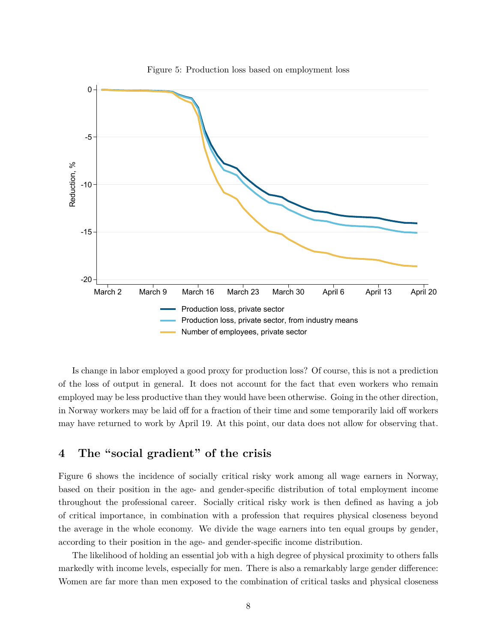

Figure 5: Production loss based on employment loss

Is change in labor employed a good proxy for production loss? Of course, this is not a prediction of the loss of output in general. It does not account for the fact that even workers who remain employed may be less productive than they would have been otherwise. Going in the other direction, in Norway workers may be laid off for a fraction of their time and some temporarily laid off workers may have returned to work by April 19. At this point, our data does not allow for observing that.

# **4 The "social gradient" of the crisis**

Figure 6 shows the incidence of socially critical risky work among all wage earners in Norway, based on their position in the age- and gender-specific distribution of total employment income throughout the professional career. Socially critical risky work is then defined as having a job of critical importance, in combination with a profession that requires physical closeness beyond the average in the whole economy. We divide the wage earners into ten equal groups by gender, according to their position in the age- and gender-specific income distribution.

The likelihood of holding an essential job with a high degree of physical proximity to others falls markedly with income levels, especially for men. There is also a remarkably large gender difference: Women are far more than men exposed to the combination of critical tasks and physical closeness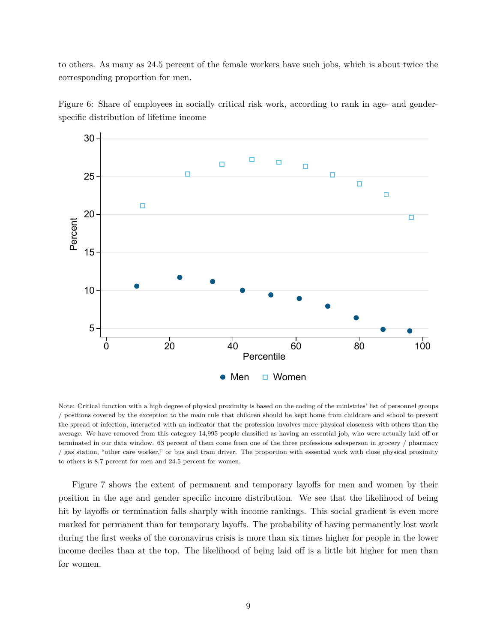to others. As many as 24.5 percent of the female workers have such jobs, which is about twice the corresponding proportion for men.





Note: Critical function with a high degree of physical proximity is based on the coding of the ministries' list of personnel groups / positions covered by the exception to the main rule that children should be kept home from childcare and school to prevent the spread of infection, interacted with an indicator that the profession involves more physical closeness with others than the average. We have removed from this category 14,995 people classified as having an essential job, who were actually laid off or terminated in our data window. 63 percent of them come from one of the three professions salesperson in grocery / pharmacy / gas station, "other care worker," or bus and tram driver. The proportion with essential work with close physical proximity to others is 8.7 percent for men and 24.5 percent for women.

Figure 7 shows the extent of permanent and temporary layoffs for men and women by their position in the age and gender specific income distribution. We see that the likelihood of being hit by layoffs or termination falls sharply with income rankings. This social gradient is even more marked for permanent than for temporary layoffs. The probability of having permanently lost work during the first weeks of the coronavirus crisis is more than six times higher for people in the lower income deciles than at the top. The likelihood of being laid off is a little bit higher for men than for women.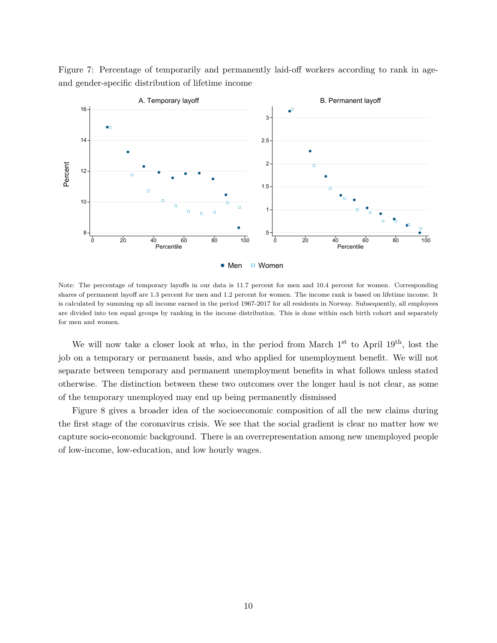

Figure 7: Percentage of temporarily and permanently laid-off workers according to rank in ageand gender-specific distribution of lifetime income

Note: The percentage of temporary layoffs in our data is 11.7 percent for men and 10.4 percent for women. Corresponding shares of permanent layoff are 1.3 percent for men and 1.2 percent for women. The income rank is based on lifetime income. It is calculated by summing up all income earned in the period 1967-2017 for all residents in Norway. Subsequently, all employees are divided into ten equal groups by ranking in the income distribution. This is done within each birth cohort and separately for men and women.

We will now take a closer look at who, in the period from March  $1<sup>st</sup>$  to April  $19<sup>th</sup>$ , lost the job on a temporary or permanent basis, and who applied for unemployment benefit. We will not separate between temporary and permanent unemployment benefits in what follows unless stated otherwise. The distinction between these two outcomes over the longer haul is not clear, as some of the temporary unemployed may end up being permanently dismissed

Figure 8 gives a broader idea of the socioeconomic composition of all the new claims during the first stage of the coronavirus crisis. We see that the social gradient is clear no matter how we capture socio-economic background. There is an overrepresentation among new unemployed people of low-income, low-education, and low hourly wages.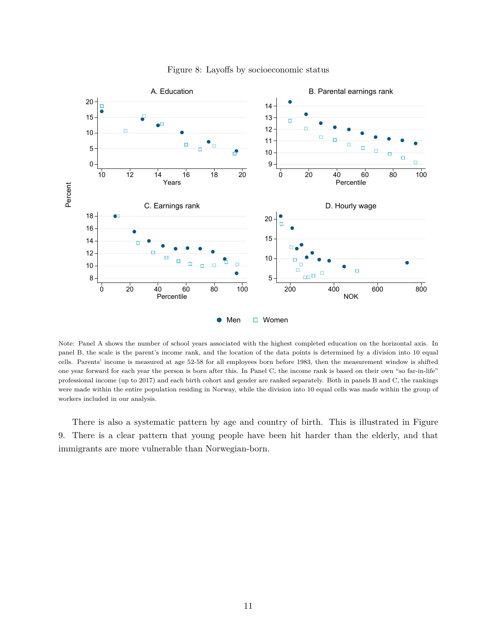

Figure 8: Layoffs by socioeconomic status

Note: Panel A shows the number of school years associated with the highest completed education on the horizontal axis. In panel B, the scale is the parent's income rank, and the location of the data points is determined by a division into 10 equal cells. Parents' income is measured at age 52-58 for all employees born before 1983, then the measurement window is shifted one year forward for each year the person is born after this. In Panel C, the income rank is based on their own "so far-in-life" professional income (up to 2017) and each birth cohort and gender are ranked separately. Both in panels B and C, the rankings were made within the entire population residing in Norway, while the division into 10 equal cells was made within the group of workers included in our analysis.

There is also a systematic pattern by age and country of birth. This is illustrated in Figure 9. There is a clear pattern that young people have been hit harder than the elderly, and that immigrants are more vulnerable than Norwegian-born.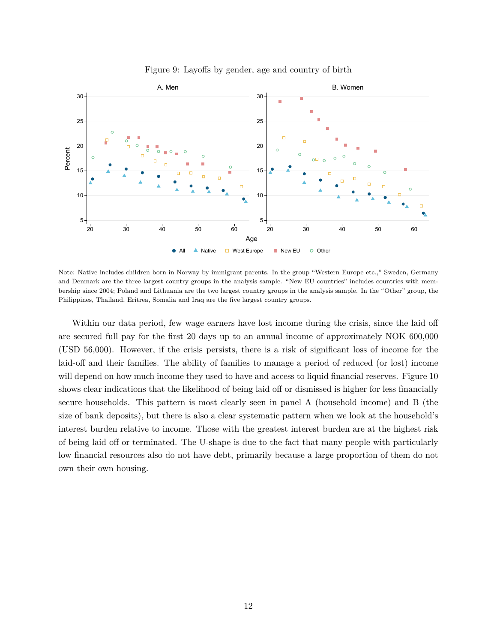

Figure 9: Layoffs by gender, age and country of birth

Note: Native includes children born in Norway by immigrant parents. In the group "Western Europe etc.," Sweden, Germany and Denmark are the three largest country groups in the analysis sample. "New EU countries" includes countries with membership since 2004; Poland and Lithuania are the two largest country groups in the analysis sample. In the "Other" group, the Philippines, Thailand, Eritrea, Somalia and Iraq are the five largest country groups.

Within our data period, few wage earners have lost income during the crisis, since the laid off are secured full pay for the first 20 days up to an annual income of approximately NOK 600,000 (USD 56,000). However, if the crisis persists, there is a risk of significant loss of income for the laid-off and their families. The ability of families to manage a period of reduced (or lost) income will depend on how much income they used to have and access to liquid financial reserves. Figure 10 shows clear indications that the likelihood of being laid off or dismissed is higher for less financially secure households. This pattern is most clearly seen in panel A (household income) and B (the size of bank deposits), but there is also a clear systematic pattern when we look at the household's interest burden relative to income. Those with the greatest interest burden are at the highest risk of being laid off or terminated. The U-shape is due to the fact that many people with particularly low financial resources also do not have debt, primarily because a large proportion of them do not own their own housing.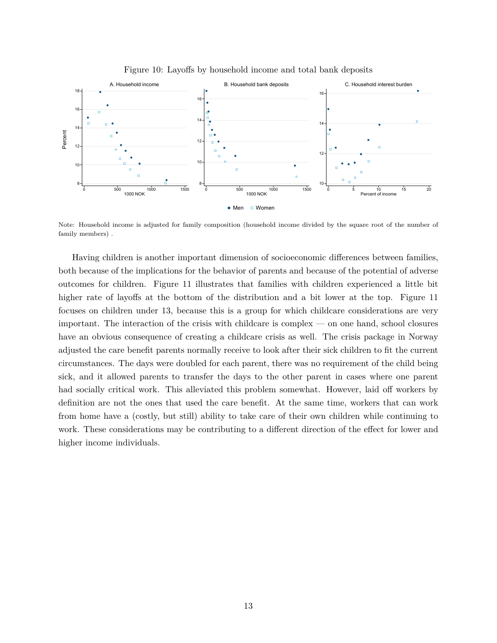

Figure 10: Layoffs by household income and total bank deposits

Note: Household income is adjusted for family composition (household income divided by the square root of the number of family members) .

Having children is another important dimension of socioeconomic differences between families, both because of the implications for the behavior of parents and because of the potential of adverse outcomes for children. Figure 11 illustrates that families with children experienced a little bit higher rate of layoffs at the bottom of the distribution and a bit lower at the top. Figure 11 focuses on children under 13, because this is a group for which childcare considerations are very important. The interaction of the crisis with childcare is complex — on one hand, school closures have an obvious consequence of creating a childcare crisis as well. The crisis package in Norway adjusted the care benefit parents normally receive to look after their sick children to fit the current circumstances. The days were doubled for each parent, there was no requirement of the child being sick, and it allowed parents to transfer the days to the other parent in cases where one parent had socially critical work. This alleviated this problem somewhat. However, laid off workers by definition are not the ones that used the care benefit. At the same time, workers that can work from home have a (costly, but still) ability to take care of their own children while continuing to work. These considerations may be contributing to a different direction of the effect for lower and higher income individuals.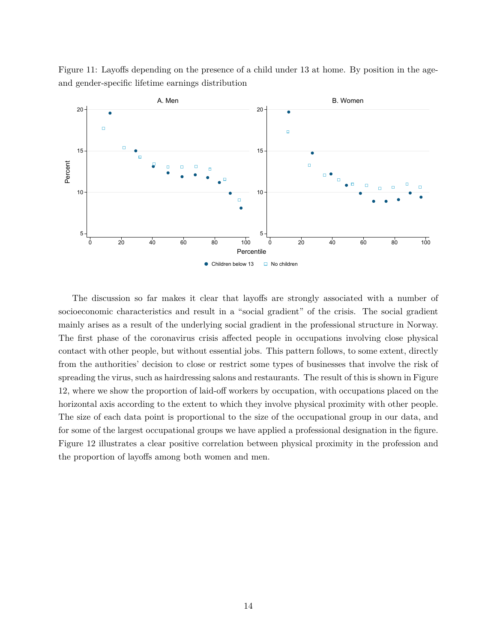



The discussion so far makes it clear that layoffs are strongly associated with a number of socioeconomic characteristics and result in a "social gradient" of the crisis. The social gradient mainly arises as a result of the underlying social gradient in the professional structure in Norway. The first phase of the coronavirus crisis affected people in occupations involving close physical contact with other people, but without essential jobs. This pattern follows, to some extent, directly from the authorities' decision to close or restrict some types of businesses that involve the risk of spreading the virus, such as hairdressing salons and restaurants. The result of this is shown in Figure 12, where we show the proportion of laid-off workers by occupation, with occupations placed on the horizontal axis according to the extent to which they involve physical proximity with other people. The size of each data point is proportional to the size of the occupational group in our data, and for some of the largest occupational groups we have applied a professional designation in the figure. Figure 12 illustrates a clear positive correlation between physical proximity in the profession and the proportion of layoffs among both women and men.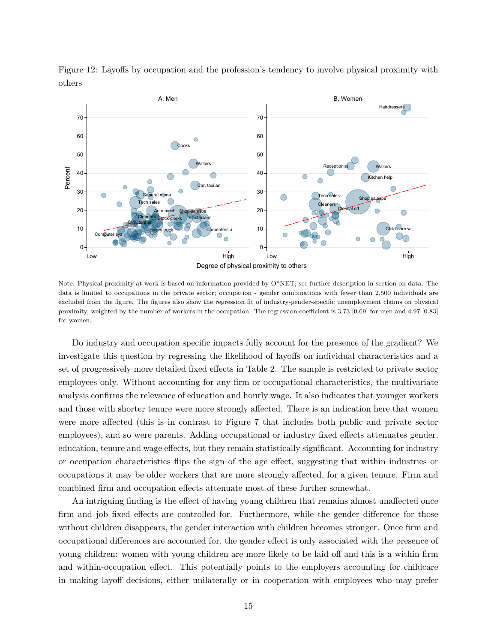

Figure 12: Layoffs by occupation and the profession's tendency to involve physical proximity with others

Note: Physical proximity at work is based on information provided by O\*NET; see further description in section on data. The data is limited to occupations in the private sector; occupation - gender combinations with fewer than 2,500 individuals are excluded from the figure. The figures also show the regression fit of industry-gender-specific unemployment claims on physical proximity, weighted by the number of workers in the occupation. The regression coefficient is 3.73 [0.69] for men and 4.97 [0.83] for women.

Do industry and occupation specific impacts fully account for the presence of the gradient? We investigate this question by regressing the likelihood of layoffs on individual characteristics and a set of progressively more detailed fixed effects in Table 2. The sample is restricted to private sector employees only. Without accounting for any firm or occupational characteristics, the multivariate analysis confirms the relevance of education and hourly wage. It also indicates that younger workers and those with shorter tenure were more strongly affected. There is an indication here that women were more affected (this is in contrast to Figure 7 that includes both public and private sector employees), and so were parents. Adding occupational or industry fixed effects attenuates gender, education, tenure and wage effects, but they remain statistically significant. Accounting for industry or occupation characteristics flips the sign of the age effect, suggesting that within industries or occupations it may be older workers that are more strongly affected, for a given tenure. Firm and combined firm and occupation effects attenuate most of these further somewhat.

An intriguing finding is the effect of having young children that remains almost unaffected once firm and job fixed effects are controlled for. Furthermore, while the gender difference for those without children disappears, the gender interaction with children becomes stronger. Once firm and occupational differences are accounted for, the gender effect is only associated with the presence of young children: women with young children are more likely to be laid off and this is a within-firm and within-occupation effect. This potentially points to the employers accounting for childcare in making layoff decisions, either unilaterally or in cooperation with employees who may prefer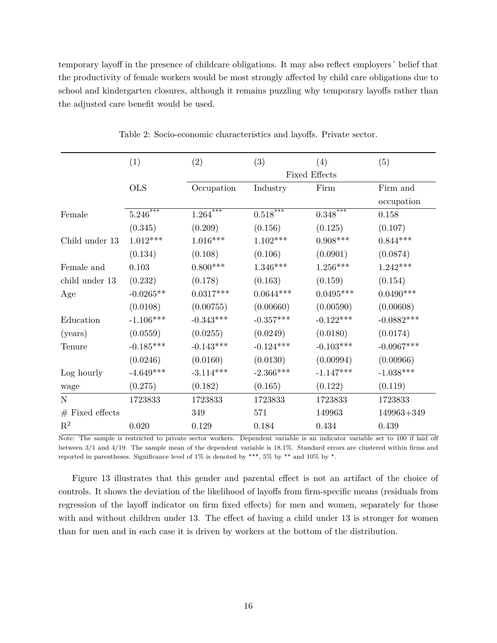temporary layoff in the presence of childcare obligations. It may also reflect employers´ belief that the productivity of female workers would be most strongly affected by child care obligations due to school and kindergarten closures, although it remains puzzling why temporary layoffs rather than the adjusted care benefit would be used.

|                   | (1)                      | (2)                      | (3)                      | (4)                      | (5)          |  |  |  |
|-------------------|--------------------------|--------------------------|--------------------------|--------------------------|--------------|--|--|--|
|                   |                          |                          | <b>Fixed Effects</b>     |                          |              |  |  |  |
|                   | <b>OLS</b>               | Occupation               | Industry                 | Firm                     | Firm and     |  |  |  |
|                   |                          |                          |                          |                          | occupation   |  |  |  |
| Female            | $5.246^{\overline{***}}$ | $1.264^{\overline{***}}$ | $0.518^{\overline{***}}$ | $0.348^{\overline{***}}$ | 0.158        |  |  |  |
|                   | (0.345)                  | (0.209)                  | (0.156)                  | (0.125)                  | (0.107)      |  |  |  |
| Child under 13    | $1.012***$               | $1.016***$               | $1.102***$               | $0.908***$               | $0.844***$   |  |  |  |
|                   | (0.134)                  | (0.108)                  | (0.106)                  | (0.0901)                 | (0.0874)     |  |  |  |
| Female and        | 0.103                    | $0.800***$               | $1.346***$               | $1.256***$               | $1.242***$   |  |  |  |
| child under 13    | (0.232)                  | (0.178)                  | (0.163)                  | (0.159)                  | (0.154)      |  |  |  |
| Age               | $-0.0265**$              | $0.0317***$              | $0.0644***$              | $0.0495***$              | $0.0490***$  |  |  |  |
|                   | (0.0108)                 | (0.00755)                | (0.00660)                | (0.00590)                | (0.00608)    |  |  |  |
| Education         | $-1.106***$              | $-0.343***$              | $-0.357***$              | $-0.122***$              | $-0.0882***$ |  |  |  |
| (years)           | (0.0559)                 | (0.0255)                 | (0.0249)                 | (0.0180)                 | (0.0174)     |  |  |  |
| Tenure            | $-0.185***$              | $-0.143***$              | $-0.124***$              | $-0.103***$              | $-0.0967***$ |  |  |  |
|                   | (0.0246)                 | (0.0160)                 | (0.0130)                 | (0.00994)                | (0.00966)    |  |  |  |
| Log hourly        | $-4.649***$              | $-3.114***$              | $-2.366***$              | $-1.147***$              | $-1.038***$  |  |  |  |
| wage              | (0.275)                  | (0.182)                  | (0.165)                  | (0.122)                  | (0.119)      |  |  |  |
| ${\bf N}$         | 1723833                  | 1723833                  | 1723833                  | 1723833                  | 1723833      |  |  |  |
| $#$ Fixed effects |                          | 349                      | 571                      | 149963                   | 149963+349   |  |  |  |
| $\mathbf{R}^2$    | 0.020                    | 0.129                    | 0.184                    | 0.434                    | 0.439        |  |  |  |

Table 2: Socio-economic characteristics and layoffs. Private sector.

Note: The sample is restricted to private sector workers. Dependent variable is an indicator variable set to 100 if laid off between 3/1 and 4/19. The sample mean of the dependent variable is 18.1%. Standard errors are clustered within firms and reported in parentheses. Significance level of  $1\%$  is denoted by \*\*\*,  $5\%$  by \*\* and  $10\%$  by \*.

Figure 13 illustrates that this gender and parental effect is not an artifact of the choice of controls. It shows the deviation of the likelihood of layoffs from firm-specific means (residuals from regression of the layoff indicator on firm fixed effects) for men and women, separately for those with and without children under 13. The effect of having a child under 13 is stronger for women than for men and in each case it is driven by workers at the bottom of the distribution.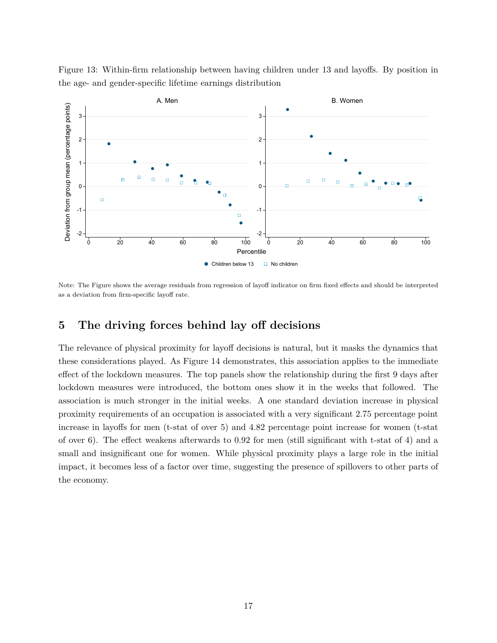

Figure 13: Within-firm relationship between having children under 13 and layoffs. By position in the age- and gender-specific lifetime earnings distribution

Note: The Figure shows the average residuals from regression of layoff indicator on firm fixed effects and should be interpreted as a deviation from firm-specific layoff rate.

# **5 The driving forces behind lay off decisions**

The relevance of physical proximity for layoff decisions is natural, but it masks the dynamics that these considerations played. As Figure 14 demonstrates, this association applies to the immediate effect of the lockdown measures. The top panels show the relationship during the first 9 days after lockdown measures were introduced, the bottom ones show it in the weeks that followed. The association is much stronger in the initial weeks. A one standard deviation increase in physical proximity requirements of an occupation is associated with a very significant 2.75 percentage point increase in layoffs for men (t-stat of over 5) and 4.82 percentage point increase for women (t-stat of over 6). The effect weakens afterwards to 0.92 for men (still significant with t-stat of 4) and a small and insignificant one for women. While physical proximity plays a large role in the initial impact, it becomes less of a factor over time, suggesting the presence of spillovers to other parts of the economy.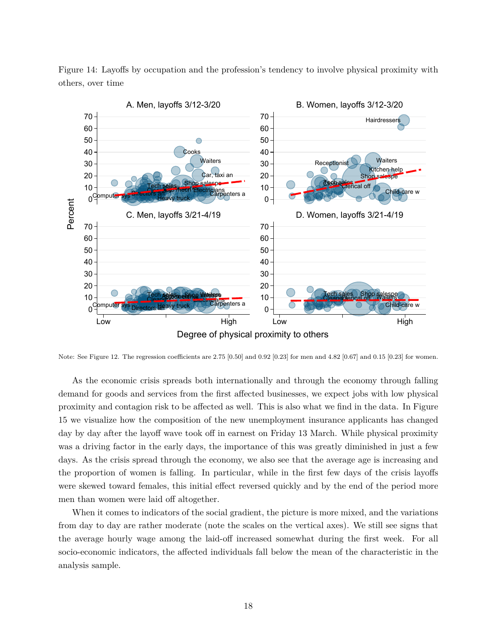

Figure 14: Layoffs by occupation and the profession's tendency to involve physical proximity with others, over time

Note: See Figure 12. The regression coefficients are 2.75 [0.50] and 0.92 [0.23] for men and 4.82 [0.67] and 0.15 [0.23] for women.

As the economic crisis spreads both internationally and through the economy through falling demand for goods and services from the first affected businesses, we expect jobs with low physical proximity and contagion risk to be affected as well. This is also what we find in the data. In Figure 15 we visualize how the composition of the new unemployment insurance applicants has changed day by day after the layoff wave took off in earnest on Friday 13 March. While physical proximity was a driving factor in the early days, the importance of this was greatly diminished in just a few days. As the crisis spread through the economy, we also see that the average age is increasing and the proportion of women is falling. In particular, while in the first few days of the crisis layoffs were skewed toward females, this initial effect reversed quickly and by the end of the period more men than women were laid off altogether.

When it comes to indicators of the social gradient, the picture is more mixed, and the variations from day to day are rather moderate (note the scales on the vertical axes). We still see signs that the average hourly wage among the laid-off increased somewhat during the first week. For all socio-economic indicators, the affected individuals fall below the mean of the characteristic in the analysis sample.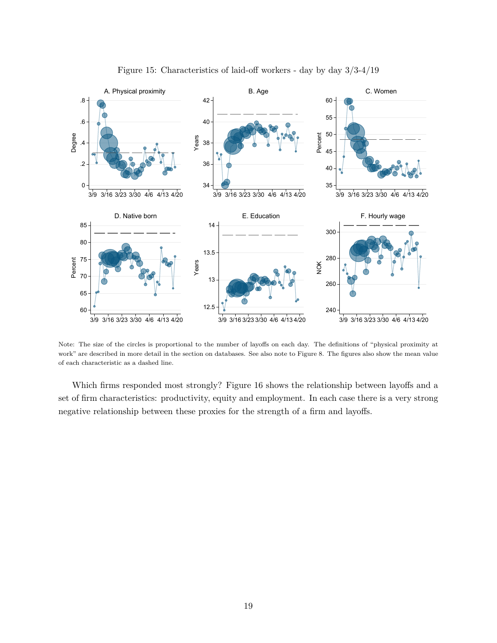

Figure 15: Characteristics of laid-off workers - day by day 3/3-4/19

Note: The size of the circles is proportional to the number of layoffs on each day. The definitions of "physical proximity at work" are described in more detail in the section on databases. See also note to Figure 8. The figures also show the mean value of each characteristic as a dashed line.

Which firms responded most strongly? Figure 16 shows the relationship between layoffs and a set of firm characteristics: productivity, equity and employment. In each case there is a very strong negative relationship between these proxies for the strength of a firm and layoffs.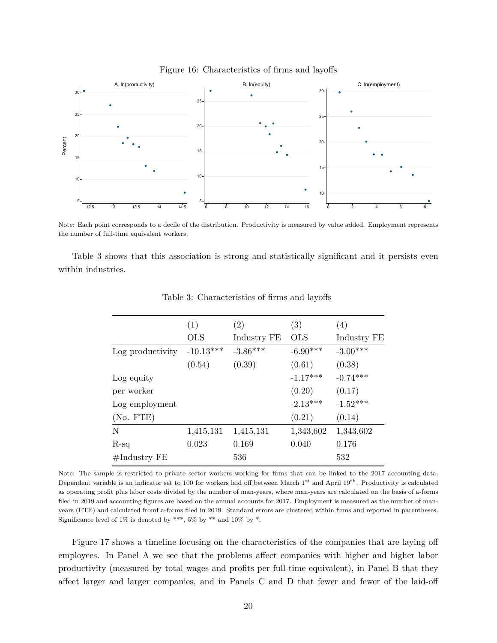

Figure 16: Characteristics of firms and layoffs

Note: Each point corresponds to a decile of the distribution. Productivity is measured by value added. Employment represents the number of full-time equivalent workers.

Table 3 shows that this association is strong and statistically significant and it persists even within industries.

|                        | (1)         | (2)         | (3)        | (4)         |
|------------------------|-------------|-------------|------------|-------------|
|                        | <b>OLS</b>  | Industry FE | <b>OLS</b> | Industry FE |
| Log productivity       | $-10.13***$ | $-3.86***$  | $-6.90***$ | $-3.00***$  |
|                        | (0.54)      | (0.39)      | (0.61)     | (0.38)      |
| Log equity             |             |             | $-1.17***$ | $-0.74***$  |
| per worker             |             |             | (0.20)     | (0.17)      |
| Log employment         |             |             | $-2.13***$ | $-1.52***$  |
| (No. FTE)              |             |             | (0.21)     | (0.14)      |
| N                      | 1,415,131   | 1,415,131   | 1,343,602  | 1,343,602   |
| $R-sq$                 | 0.023       | 0.169       | 0.040      | 0.176       |
| $\#\text{Industry FE}$ |             | 536         |            | 532         |

Table 3: Characteristics of firms and layoffs

Note: The sample is restricted to private sector workers working for firms that can be linked to the 2017 accounting data. Dependent variable is an indicator set to 100 for workers laid off between March 1st and April 19th. Productivity is calculated as operating profit plus labor costs divided by the number of man-years, where man-years are calculated on the basis of a-forms filed in 2019 and accounting figures are based on the annual accounts for 2017. Employment is measured as the number of manyears (FTE) and calculated fromf a-forms filed in 2019. Standard errors are clustered within firms and reported in parentheses. Significance level of  $1\%$  is denoted by \*\*\*,  $5\%$  by \*\* and  $10\%$  by \*.

Figure 17 shows a timeline focusing on the characteristics of the companies that are laying off employees. In Panel A we see that the problems affect companies with higher and higher labor productivity (measured by total wages and profits per full-time equivalent), in Panel B that they affect larger and larger companies, and in Panels C and D that fewer and fewer of the laid-off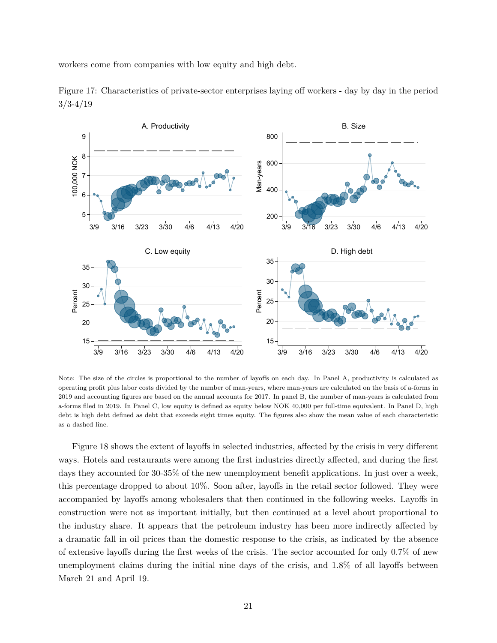workers come from companies with low equity and high debt.



Figure 17: Characteristics of private-sector enterprises laying off workers - day by day in the period  $3/3-4/19$ 

Note: The size of the circles is proportional to the number of layoffs on each day. In Panel A, productivity is calculated as operating profit plus labor costs divided by the number of man-years, where man-years are calculated on the basis of a-forms in 2019 and accounting figures are based on the annual accounts for 2017. In panel B, the number of man-years is calculated from a-forms filed in 2019. In Panel C, low equity is defined as equity below NOK 40,000 per full-time equivalent. In Panel D, high debt is high debt defined as debt that exceeds eight times equity. The figures also show the mean value of each characteristic as a dashed line.

Figure 18 shows the extent of layoffs in selected industries, affected by the crisis in very different ways. Hotels and restaurants were among the first industries directly affected, and during the first days they accounted for 30-35% of the new unemployment benefit applications. In just over a week, this percentage dropped to about 10%. Soon after, layoffs in the retail sector followed. They were accompanied by layoffs among wholesalers that then continued in the following weeks. Layoffs in construction were not as important initially, but then continued at a level about proportional to the industry share. It appears that the petroleum industry has been more indirectly affected by a dramatic fall in oil prices than the domestic response to the crisis, as indicated by the absence of extensive layoffs during the first weeks of the crisis. The sector accounted for only 0.7% of new unemployment claims during the initial nine days of the crisis, and 1.8% of all layoffs between March 21 and April 19.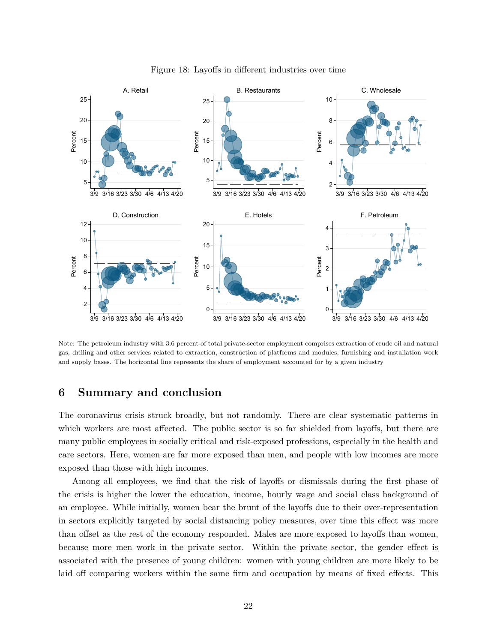

Figure 18: Layoffs in different industries over time

Note: The petroleum industry with 3.6 percent of total private-sector employment comprises extraction of crude oil and natural gas, drilling and other services related to extraction, construction of platforms and modules, furnishing and installation work and supply bases. The horizontal line represents the share of employment accounted for by a given industry

### **6 Summary and conclusion**

The coronavirus crisis struck broadly, but not randomly. There are clear systematic patterns in which workers are most affected. The public sector is so far shielded from layoffs, but there are many public employees in socially critical and risk-exposed professions, especially in the health and care sectors. Here, women are far more exposed than men, and people with low incomes are more exposed than those with high incomes.

Among all employees, we find that the risk of layoffs or dismissals during the first phase of the crisis is higher the lower the education, income, hourly wage and social class background of an employee. While initially, women bear the brunt of the layoffs due to their over-representation in sectors explicitly targeted by social distancing policy measures, over time this effect was more than offset as the rest of the economy responded. Males are more exposed to layoffs than women, because more men work in the private sector. Within the private sector, the gender effect is associated with the presence of young children: women with young children are more likely to be laid off comparing workers within the same firm and occupation by means of fixed effects. This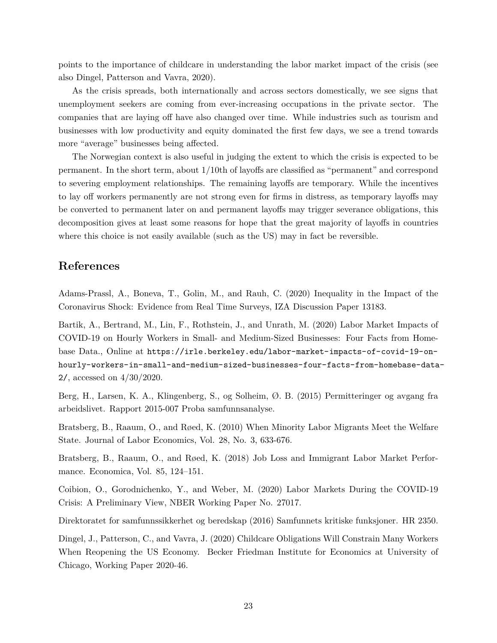points to the importance of childcare in understanding the labor market impact of the crisis (see also Dingel, Patterson and Vavra, 2020).

As the crisis spreads, both internationally and across sectors domestically, we see signs that unemployment seekers are coming from ever-increasing occupations in the private sector. The companies that are laying off have also changed over time. While industries such as tourism and businesses with low productivity and equity dominated the first few days, we see a trend towards more "average" businesses being affected.

The Norwegian context is also useful in judging the extent to which the crisis is expected to be permanent. In the short term, about 1/10th of layoffs are classified as "permanent" and correspond to severing employment relationships. The remaining layoffs are temporary. While the incentives to lay off workers permanently are not strong even for firms in distress, as temporary layoffs may be converted to permanent later on and permanent layoffs may trigger severance obligations, this decomposition gives at least some reasons for hope that the great majority of layoffs in countries where this choice is not easily available (such as the US) may in fact be reversible.

# **References**

Adams-Prassl, A., Boneva, T., Golin, M., and Rauh, C. (2020) Inequality in the Impact of the Coronavirus Shock: Evidence from Real Time Surveys, IZA Discussion Paper 13183.

Bartik, A., Bertrand, M., Lin, F., Rothstein, J., and Unrath, M. (2020) Labor Market Impacts of COVID-19 on Hourly Workers in Small- and Medium-Sized Businesses: Four Facts from Homebase Data., Online at [https://irle.berkeley.edu/labor-market-impacts-of-covid-19-on](https://irle.berkeley.edu/labor-market-impacts-of-covid-19-on-hourly-workers-in-small-and-medium-sized-businesses-four-facts-from-homebase-data-2/)[hourly-workers-in-small-and-medium-sized-businesses-four-facts-from-homebase-data](https://irle.berkeley.edu/labor-market-impacts-of-covid-19-on-hourly-workers-in-small-and-medium-sized-businesses-four-facts-from-homebase-data-2/)-[2/](https://irle.berkeley.edu/labor-market-impacts-of-covid-19-on-hourly-workers-in-small-and-medium-sized-businesses-four-facts-from-homebase-data-2/), accessed on 4/30/2020.

Berg, H., Larsen, K. A., Klingenberg, S., og Solheim, Ø. B. (2015) Permitteringer og avgang fra arbeidslivet. Rapport 2015-007 Proba samfunnsanalyse.

Bratsberg, B., Raaum, O., and Røed, K. (2010) When Minority Labor Migrants Meet the Welfare State. Journal of Labor Economics, Vol. 28, No. 3, 633-676.

Bratsberg, B., Raaum, O., and Røed, K. (2018) Job Loss and Immigrant Labor Market Performance. Economica, Vol. 85, 124–151.

Coibion, O., Gorodnichenko, Y., and Weber, M. (2020) Labor Markets During the COVID-19 Crisis: A Preliminary View, NBER Working Paper No. 27017.

Direktoratet for samfunnssikkerhet og beredskap (2016) Samfunnets kritiske funksjoner. HR 2350.

Dingel, J., Patterson, C., and Vavra, J. (2020) Childcare Obligations Will Constrain Many Workers When Reopening the US Economy. Becker Friedman Institute for Economics at University of Chicago, Working Paper 2020-46.